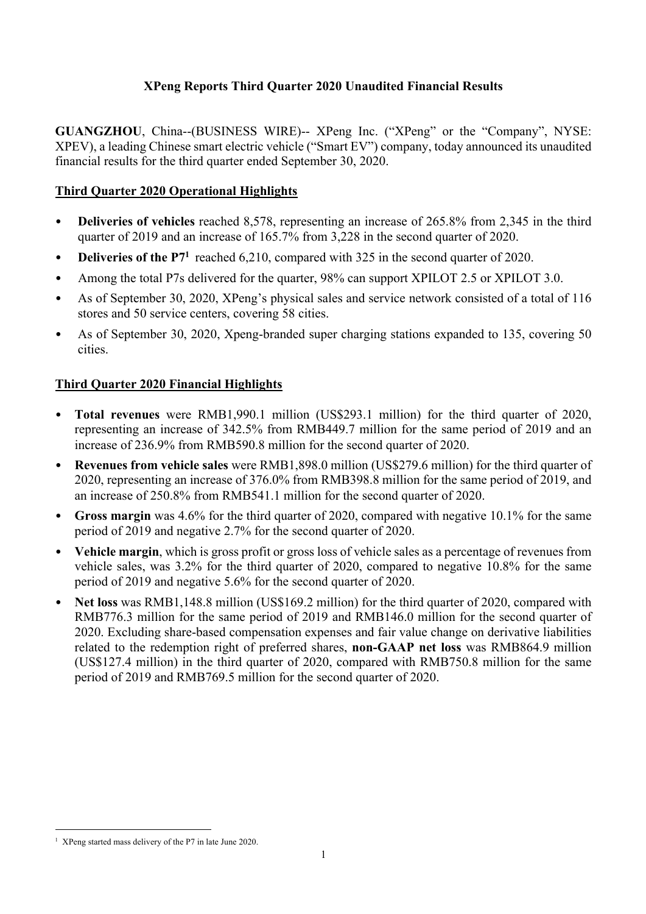# **XPeng Reports Third Quarter 2020 Unaudited Financial Results**

**GUANGZHOU**, China--(BUSINESS WIRE)-- XPeng Inc. ("XPeng" or the "Company", NYSE: XPEV), a leading Chinese smart electric vehicle ("Smart EV") company, today announced its unaudited financial results for the third quarter ended September 30, 2020.

# **Third Quarter 2020 Operational Highlights**

- **Deliveries of vehicles** reached 8,578, representing an increase of 265.8% from 2,345 in the third quarter of 2019 and an increase of 165.7% from 3,228 in the second quarter of 2020.
- **Deliveries of the P7<sup>1</sup>** reached 6.210, compared with 325 in the second quarter of 2020.
- Among the total P7s delivered for the quarter, 98% can support XPILOT 2.5 or XPILOT 3.0.
- As of September 30, 2020, XPeng's physical sales and service network consisted of a total of 116 stores and 50 service centers, covering 58 cities.
- As of September 30, 2020, Xpeng-branded super charging stations expanded to 135, covering 50 cities.

# **Third Quarter 2020 Financial Highlights**

- **Total revenues** were RMB1,990.1 million (US\$293.1 million) for the third quarter of 2020, representing an increase of 342.5% from RMB449.7 million for the same period of 2019 and an increase of 236.9% from RMB590.8 million for the second quarter of 2020.
- **Revenues from vehicle sales** were RMB1,898.0 million (US\$279.6 million) for the third quarter of 2020, representing an increase of 376.0% from RMB398.8 million for the same period of 2019, and an increase of 250.8% from RMB541.1 million for the second quarter of 2020.
- **Gross margin** was 4.6% for the third quarter of 2020, compared with negative 10.1% for the same period of 2019 and negative 2.7% for the second quarter of 2020.
- **Vehicle margin**, which is gross profit or gross loss of vehicle sales as a percentage of revenues from vehicle sales, was 3.2% for the third quarter of 2020, compared to negative 10.8% for the same period of 2019 and negative 5.6% for the second quarter of 2020.
- **Net loss** was RMB1,148.8 million (US\$169.2 million) for the third quarter of 2020, compared with RMB776.3 million for the same period of 2019 and RMB146.0 million for the second quarter of 2020. Excluding share-based compensation expenses and fair value change on derivative liabilities related to the redemption right of preferred shares, **non-GAAP net loss** was RMB864.9 million (US\$127.4 million) in the third quarter of 2020, compared with RMB750.8 million for the same period of 2019 and RMB769.5 million for the second quarter of 2020.

<sup>&</sup>lt;sup>1</sup> XPeng started mass delivery of the P7 in late June 2020.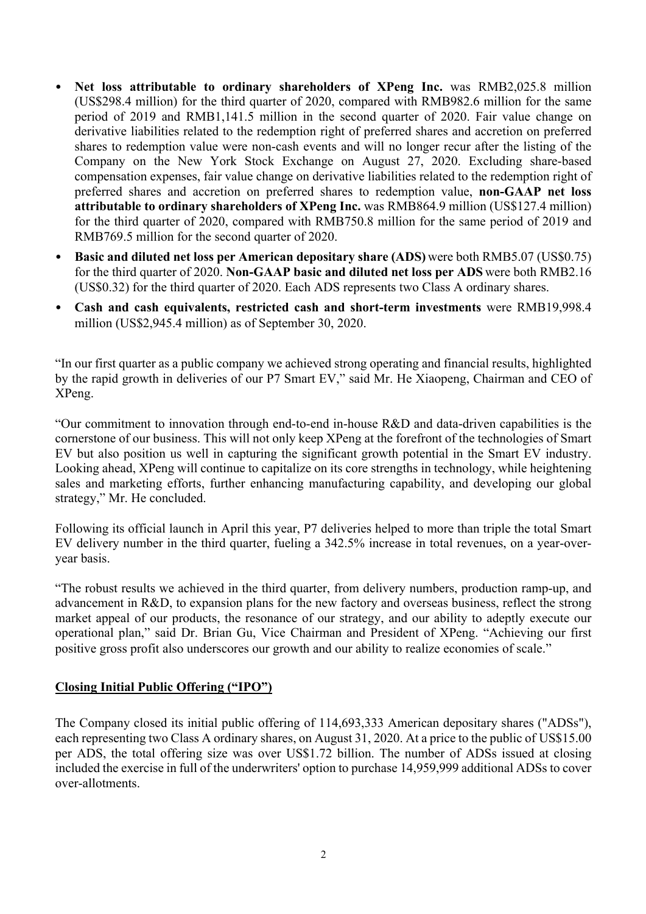- Net loss attributable to ordinary shareholders of XPeng Inc. was RMB2,025.8 million (US\$298.4 million) for the third quarter of 2020, compared with RMB982.6 million for the same period of 2019 and RMB1,141.5 million in the second quarter of 2020. Fair value change on derivative liabilities related to the redemption right of preferred shares and accretion on preferred shares to redemption value were non-cash events and will no longer recur after the listing of the Company on the New York Stock Exchange on August 27, 2020. Excluding share-based compensation expenses, fair value change on derivative liabilities related to the redemption right of preferred shares and accretion on preferred shares to redemption value, **non-GAAP net loss attributable to ordinary shareholders of XPeng Inc.** was RMB864.9 million (US\$127.4 million) for the third quarter of 2020, compared with RMB750.8 million for the same period of 2019 and RMB769.5 million for the second quarter of 2020.
- **Basic and diluted net loss per American depositary share (ADS)** were both RMB5.07 (US\$0.75) for the third quarter of 2020. **Non-GAAP basic and diluted net loss per ADS** were both RMB2.16 (US\$0.32) for the third quarter of 2020. Each ADS represents two Class A ordinary shares.
- **Cash and cash equivalents, restricted cash and short-term investments** were RMB19,998.4 million (US\$2,945.4 million) as of September 30, 2020.

"In our first quarter as a public company we achieved strong operating and financial results, highlighted by the rapid growth in deliveries of our P7 Smart EV," said Mr. He Xiaopeng, Chairman and CEO of XPeng.

"Our commitment to innovation through end-to-end in-house R&D and data-driven capabilities is the cornerstone of our business. This will not only keep XPeng at the forefront of the technologies of Smart EV but also position us well in capturing the significant growth potential in the Smart EV industry. Looking ahead, XPeng will continue to capitalize on its core strengths in technology, while heightening sales and marketing efforts, further enhancing manufacturing capability, and developing our global strategy," Mr. He concluded.

Following its official launch in April this year, P7 deliveries helped to more than triple the total Smart EV delivery number in the third quarter, fueling a 342.5% increase in total revenues, on a year-overyear basis.

"The robust results we achieved in the third quarter, from delivery numbers, production ramp-up, and advancement in R&D, to expansion plans for the new factory and overseas business, reflect the strong market appeal of our products, the resonance of our strategy, and our ability to adeptly execute our operational plan," said Dr. Brian Gu, Vice Chairman and President of XPeng. "Achieving our first positive gross profit also underscores our growth and our ability to realize economies of scale."

# **Closing Initial Public Offering ("IPO")**

The Company closed its initial public offering of 114,693,333 American depositary shares ("ADSs"), each representing two Class A ordinary shares, on August 31, 2020. At a price to the public of US\$15.00 per ADS, the total offering size was over US\$1.72 billion. The number of ADSs issued at closing included the exercise in full of the underwriters' option to purchase 14,959,999 additional ADSs to cover over-allotments.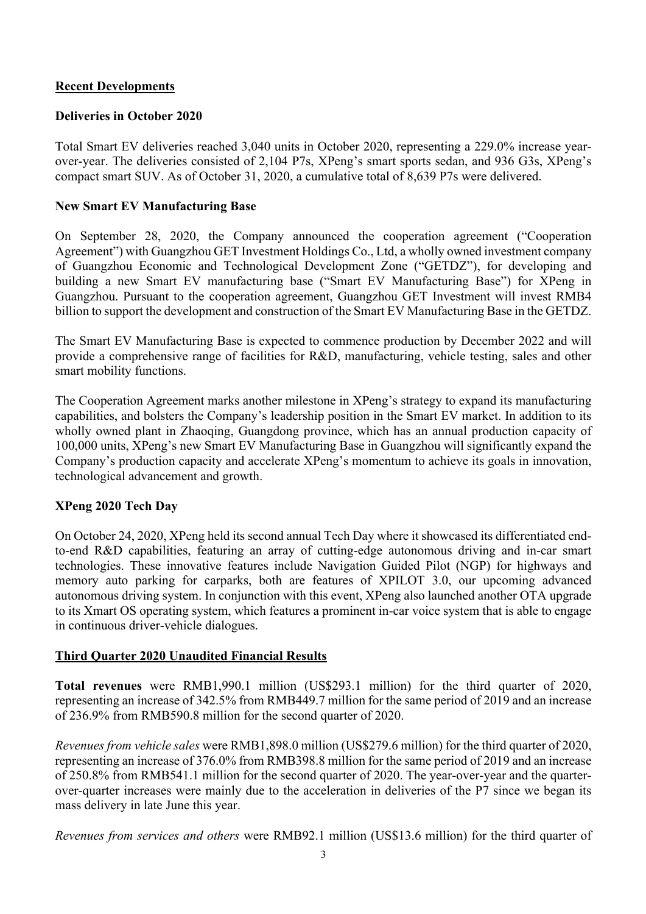# **Recent Developments**

## **Deliveries in October 2020**

Total Smart EV deliveries reached 3,040 units in October 2020, representing a 229.0% increase yearover-year. The deliveries consisted of 2,104 P7s, XPeng's smart sports sedan, and 936 G3s, XPeng's compact smart SUV. As of October 31, 2020, a cumulative total of 8,639 P7s were delivered.

## **New Smart EV Manufacturing Base**

On September 28, 2020, the Company announced the cooperation agreement ("Cooperation Agreement") with Guangzhou GET Investment Holdings Co., Ltd, a wholly owned investment company of Guangzhou Economic and Technological Development Zone ("GETDZ"), for developing and building a new Smart EV manufacturing base ("Smart EV Manufacturing Base") for XPeng in Guangzhou. Pursuant to the cooperation agreement, Guangzhou GET Investment will invest RMB4 billion to support the development and construction of the Smart EV Manufacturing Base in the GETDZ.

The Smart EV Manufacturing Base is expected to commence production by December 2022 and will provide a comprehensive range of facilities for R&D, manufacturing, vehicle testing, sales and other smart mobility functions.

The Cooperation Agreement marks another milestone in XPeng's strategy to expand its manufacturing capabilities, and bolsters the Company's leadership position in the Smart EV market. In addition to its wholly owned plant in Zhaoqing, Guangdong province, which has an annual production capacity of 100,000 units, XPeng's new Smart EV Manufacturing Base in Guangzhou will significantly expand the Company's production capacity and accelerate XPeng's momentum to achieve its goals in innovation, technological advancement and growth.

# **XPeng 2020 Tech Day**

On October 24, 2020, XPeng held its second annual Tech Day where it showcased its differentiated endto-end R&D capabilities, featuring an array of cutting-edge autonomous driving and in-car smart technologies. These innovative features include Navigation Guided Pilot (NGP) for highways and memory auto parking for carparks, both are features of XPILOT 3.0, our upcoming advanced autonomous driving system. In conjunction with this event, XPeng also launched another OTA upgrade to its Xmart OS operating system, which features a prominent in-car voice system that is able to engage in continuous driver-vehicle dialogues.

# **Third Quarter 2020 Unaudited Financial Results**

**Total revenues** were RMB1,990.1 million (US\$293.1 million) for the third quarter of 2020, representing an increase of 342.5% from RMB449.7 million for the same period of 2019 and an increase of 236.9% from RMB590.8 million for the second quarter of 2020.

*Revenues from vehicle sales* were RMB1,898.0 million (US\$279.6 million) for the third quarter of 2020, representing an increase of 376.0% from RMB398.8 million for the same period of 2019 and an increase of 250.8% from RMB541.1 million for the second quarter of 2020. The year-over-year and the quarterover-quarter increases were mainly due to the acceleration in deliveries of the P7 since we began its mass delivery in late June this year.

*Revenues from services and others* were RMB92.1 million (US\$13.6 million) for the third quarter of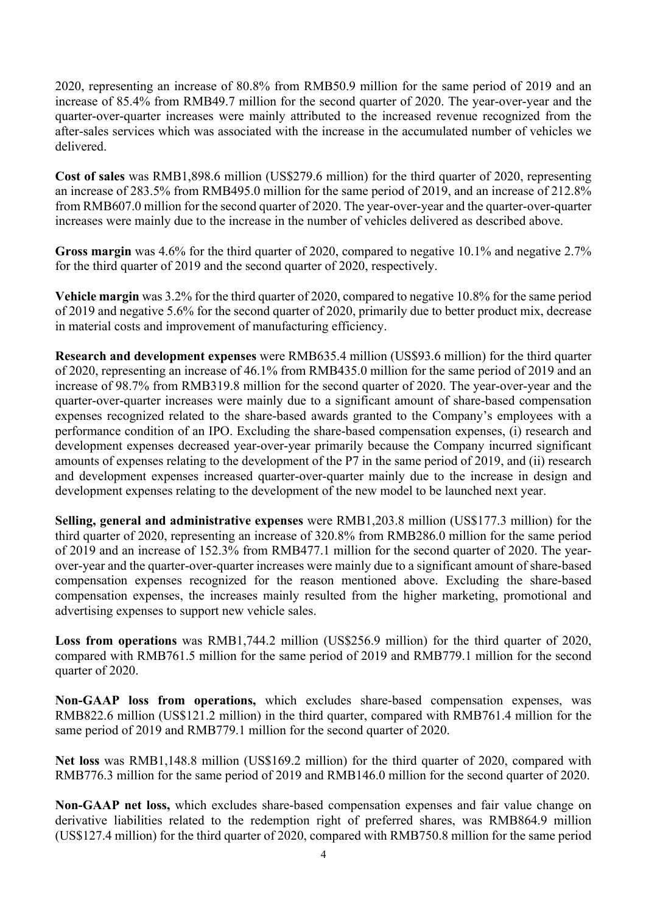2020, representing an increase of 80.8% from RMB50.9 million for the same period of 2019 and an increase of 85.4% from RMB49.7 million for the second quarter of 2020. The year-over-year and the quarter-over-quarter increases were mainly attributed to the increased revenue recognized from the after-sales services which was associated with the increase in the accumulated number of vehicles we delivered.

**Cost of sales** was RMB1,898.6 million (US\$279.6 million) for the third quarter of 2020, representing an increase of 283.5% from RMB495.0 million for the same period of 2019, and an increase of 212.8% from RMB607.0 million for the second quarter of 2020. The year-over-year and the quarter-over-quarter increases were mainly due to the increase in the number of vehicles delivered as described above.

Gross margin was 4.6% for the third quarter of 2020, compared to negative 10.1% and negative 2.7% for the third quarter of 2019 and the second quarter of 2020, respectively.

**Vehicle margin** was 3.2% for the third quarter of 2020, compared to negative 10.8% for the same period of 2019 and negative 5.6% for the second quarter of 2020, primarily due to better product mix, decrease in material costs and improvement of manufacturing efficiency.

**Research and development expenses** were RMB635.4 million (US\$93.6 million) for the third quarter of 2020, representing an increase of 46.1% from RMB435.0 million for the same period of 2019 and an increase of 98.7% from RMB319.8 million for the second quarter of 2020. The year-over-year and the quarter-over-quarter increases were mainly due to a significant amount of share-based compensation expenses recognized related to the share-based awards granted to the Company's employees with a performance condition of an IPO. Excluding the share-based compensation expenses, (i) research and development expenses decreased year-over-year primarily because the Company incurred significant amounts of expenses relating to the development of the P7 in the same period of 2019, and (ii) research and development expenses increased quarter-over-quarter mainly due to the increase in design and development expenses relating to the development of the new model to be launched next year.

**Selling, general and administrative expenses** were RMB1,203.8 million (US\$177.3 million) for the third quarter of 2020, representing an increase of 320.8% from RMB286.0 million for the same period of 2019 and an increase of 152.3% from RMB477.1 million for the second quarter of 2020. The yearover-year and the quarter-over-quarter increases were mainly due to a significant amount of share-based compensation expenses recognized for the reason mentioned above. Excluding the share-based compensation expenses, the increases mainly resulted from the higher marketing, promotional and advertising expenses to support new vehicle sales.

**Loss from operations** was RMB1,744.2 million (US\$256.9 million) for the third quarter of 2020, compared with RMB761.5 million for the same period of 2019 and RMB779.1 million for the second quarter of 2020.

**Non-GAAP loss from operations,** which excludes share-based compensation expenses, was RMB822.6 million (US\$121.2 million) in the third quarter, compared with RMB761.4 million for the same period of 2019 and RMB779.1 million for the second quarter of 2020.

**Net loss** was RMB1,148.8 million (US\$169.2 million) for the third quarter of 2020, compared with RMB776.3 million for the same period of 2019 and RMB146.0 million for the second quarter of 2020.

**Non-GAAP net loss,** which excludes share-based compensation expenses and fair value change on derivative liabilities related to the redemption right of preferred shares, was RMB864.9 million (US\$127.4 million) for the third quarter of 2020, compared with RMB750.8 million for the same period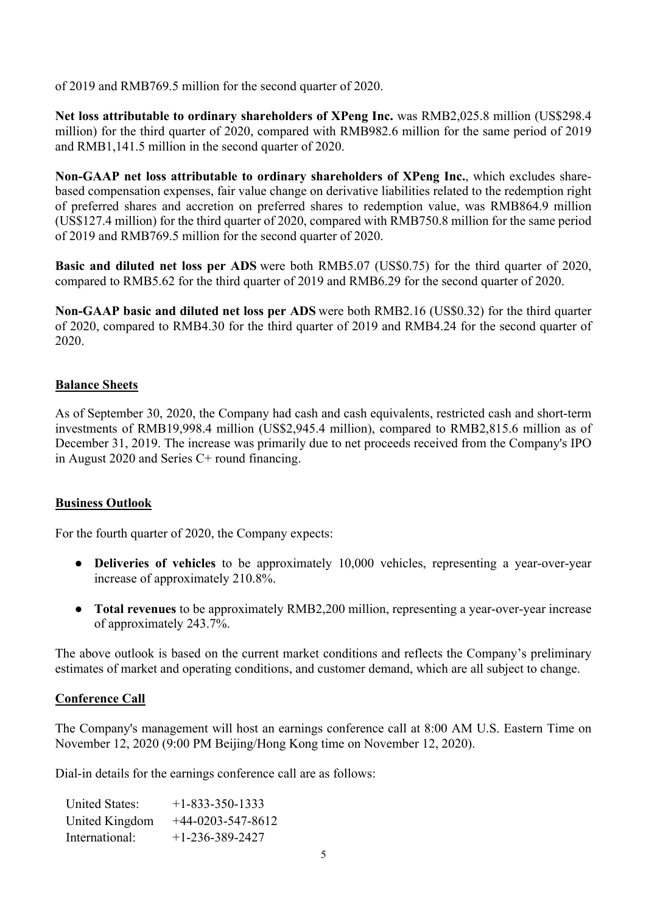of 2019 and RMB769.5 million for the second quarter of 2020.

**Net loss attributable to ordinary shareholders of XPeng Inc.** was RMB2,025.8 million (US\$298.4 million) for the third quarter of 2020, compared with RMB982.6 million for the same period of 2019 and RMB1,141.5 million in the second quarter of 2020.

**Non-GAAP net loss attributable to ordinary shareholders of XPeng Inc.**, which excludes sharebased compensation expenses, fair value change on derivative liabilities related to the redemption right of preferred shares and accretion on preferred shares to redemption value, was RMB864.9 million (US\$127.4 million) for the third quarter of 2020, compared with RMB750.8 million for the same period of 2019 and RMB769.5 million for the second quarter of 2020.

**Basic and diluted net loss per ADS** were both RMB5.07 (US\$0.75) for the third quarter of 2020, compared to RMB5.62 for the third quarter of 2019 and RMB6.29 for the second quarter of 2020.

**Non-GAAP basic and diluted net loss per ADS** were both RMB2.16 (US\$0.32) for the third quarter of 2020, compared to RMB4.30 for the third quarter of 2019 and RMB4.24 for the second quarter of 2020.

# **Balance Sheets**

As of September 30, 2020, the Company had cash and cash equivalents, restricted cash and short-term investments of RMB19,998.4 million (US\$2,945.4 million), compared to RMB2,815.6 million as of December 31, 2019. The increase was primarily due to net proceeds received from the Company's IPO in August 2020 and Series C+ round financing.

# **Business Outlook**

For the fourth quarter of 2020, the Company expects:

- **Deliveries of vehicles** to be approximately 10,000 vehicles, representing a year-over-year increase of approximately 210.8%.
- **Total revenues** to be approximately RMB2,200 million, representing a year-over-year increase of approximately 243.7%.

The above outlook is based on the current market conditions and reflects the Company's preliminary estimates of market and operating conditions, and customer demand, which are all subject to change.

# **Conference Call**

The Company's management will host an earnings conference call at 8:00 AM U.S. Eastern Time on November 12, 2020 (9:00 PM Beijing/Hong Kong time on November 12, 2020).

Dial-in details for the earnings conference call are as follows:

| <b>United States:</b> | $+1 - 833 - 350 - 1333$ |
|-----------------------|-------------------------|
| United Kingdom        | $+44-0203-547-8612$     |
| International:        | $+1-236-389-2427$       |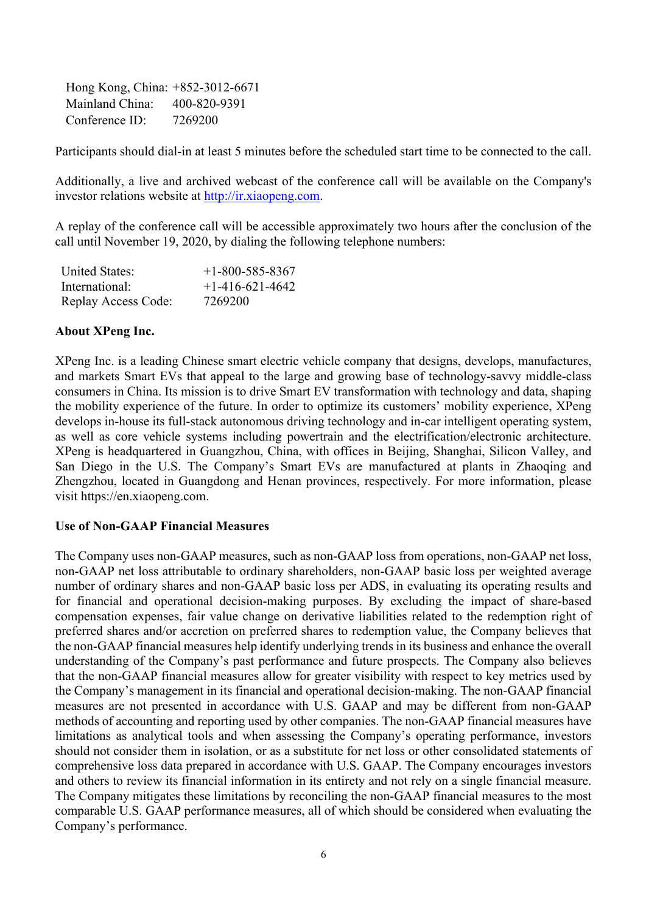Hong Kong, China: +852-3012-6671 Mainland China: 400-820-9391 Conference ID: 7269200

Participants should dial-in at least 5 minutes before the scheduled start time to be connected to the call.

Additionally, a live and archived webcast of the conference call will be available on the Company's investor relations website at http://ir.xiaopeng.com.

A replay of the conference call will be accessible approximately two hours after the conclusion of the call until November 19, 2020, by dialing the following telephone numbers:

| <b>United States:</b> | $+1 - 800 - 585 - 8367$ |
|-----------------------|-------------------------|
| International:        | $+1-416-621-4642$       |
| Replay Access Code:   | 7269200                 |

## **About XPeng Inc.**

XPeng Inc. is a leading Chinese smart electric vehicle company that designs, develops, manufactures, and markets Smart EVs that appeal to the large and growing base of technology-savvy middle-class consumers in China. Its mission is to drive Smart EV transformation with technology and data, shaping the mobility experience of the future. In order to optimize its customers' mobility experience, XPeng develops in-house its full-stack autonomous driving technology and in-car intelligent operating system, as well as core vehicle systems including powertrain and the electrification/electronic architecture. XPeng is headquartered in Guangzhou, China, with offices in Beijing, Shanghai, Silicon Valley, and San Diego in the U.S. The Company's Smart EVs are manufactured at plants in Zhaoqing and Zhengzhou, located in Guangdong and Henan provinces, respectively. For more information, please visit https://en.xiaopeng.com.

## **Use of Non-GAAP Financial Measures**

The Company uses non-GAAP measures, such as non-GAAP loss from operations, non-GAAP net loss, non-GAAP net loss attributable to ordinary shareholders, non-GAAP basic loss per weighted average number of ordinary shares and non-GAAP basic loss per ADS, in evaluating its operating results and for financial and operational decision-making purposes. By excluding the impact of share-based compensation expenses, fair value change on derivative liabilities related to the redemption right of preferred shares and/or accretion on preferred shares to redemption value, the Company believes that the non-GAAP financial measures help identify underlying trends in its business and enhance the overall understanding of the Company's past performance and future prospects. The Company also believes that the non-GAAP financial measures allow for greater visibility with respect to key metrics used by the Company's management in its financial and operational decision-making. The non-GAAP financial measures are not presented in accordance with U.S. GAAP and may be different from non-GAAP methods of accounting and reporting used by other companies. The non-GAAP financial measures have limitations as analytical tools and when assessing the Company's operating performance, investors should not consider them in isolation, or as a substitute for net loss or other consolidated statements of comprehensive loss data prepared in accordance with U.S. GAAP. The Company encourages investors and others to review its financial information in its entirety and not rely on a single financial measure. The Company mitigates these limitations by reconciling the non-GAAP financial measures to the most comparable U.S. GAAP performance measures, all of which should be considered when evaluating the Company's performance.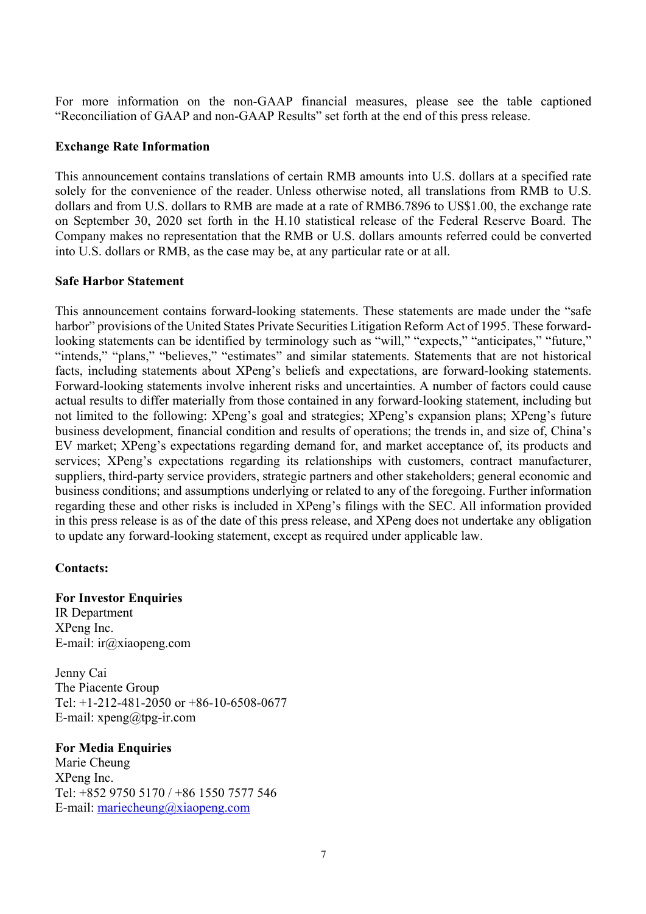For more information on the non-GAAP financial measures, please see the table captioned "Reconciliation of GAAP and non-GAAP Results" set forth at the end of this press release.

## **Exchange Rate Information**

This announcement contains translations of certain RMB amounts into U.S. dollars at a specified rate solely for the convenience of the reader. Unless otherwise noted, all translations from RMB to U.S. dollars and from U.S. dollars to RMB are made at a rate of RMB6.7896 to US\$1.00, the exchange rate on September 30, 2020 set forth in the H.10 statistical release of the Federal Reserve Board. The Company makes no representation that the RMB or U.S. dollars amounts referred could be converted into U.S. dollars or RMB, as the case may be, at any particular rate or at all.

## **Safe Harbor Statement**

This announcement contains forward-looking statements. These statements are made under the "safe harbor" provisions of the United States Private Securities Litigation Reform Act of 1995. These forwardlooking statements can be identified by terminology such as "will," "expects," "anticipates," "future," "intends," "plans," "believes," "estimates" and similar statements. Statements that are not historical facts, including statements about XPeng's beliefs and expectations, are forward-looking statements. Forward-looking statements involve inherent risks and uncertainties. A number of factors could cause actual results to differ materially from those contained in any forward-looking statement, including but not limited to the following: XPeng's goal and strategies; XPeng's expansion plans; XPeng's future business development, financial condition and results of operations; the trends in, and size of, China's EV market; XPeng's expectations regarding demand for, and market acceptance of, its products and services; XPeng's expectations regarding its relationships with customers, contract manufacturer, suppliers, third-party service providers, strategic partners and other stakeholders; general economic and business conditions; and assumptions underlying or related to any of the foregoing. Further information regarding these and other risks is included in XPeng's filings with the SEC. All information provided in this press release is as of the date of this press release, and XPeng does not undertake any obligation to update any forward-looking statement, except as required under applicable law.

# **Contacts:**

# **For Investor Enquiries**

IR Department XPeng Inc. E-mail: ir@xiaopeng.com

Jenny Cai The Piacente Group Tel: +1-212-481-2050 or +86-10-6508-0677 E-mail: xpeng@tpg-ir.com

## **For Media Enquiries**

Marie Cheung XPeng Inc. Tel: +852 9750 5170 / +86 1550 7577 546 E-mail: mariecheung@xiaopeng.com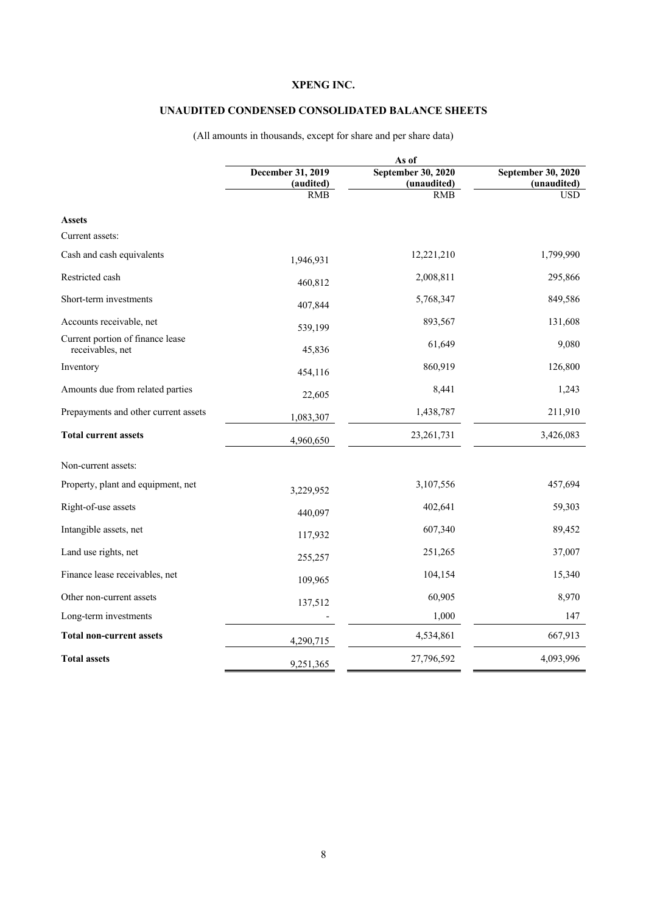### **UNAUDITED CONDENSED CONSOLIDATED BALANCE SHEETS**

|                                                      | As of                   |                           |                           |  |
|------------------------------------------------------|-------------------------|---------------------------|---------------------------|--|
|                                                      | December 31, 2019       | September 30, 2020        | September 30, 2020        |  |
|                                                      | (audited)<br><b>RMB</b> | (unaudited)<br><b>RMB</b> | (unaudited)<br><b>USD</b> |  |
|                                                      |                         |                           |                           |  |
| <b>Assets</b>                                        |                         |                           |                           |  |
| Current assets:                                      |                         |                           |                           |  |
| Cash and cash equivalents                            | 1,946,931               | 12,221,210                | 1,799,990                 |  |
| Restricted cash                                      | 460,812                 | 2,008,811                 | 295,866                   |  |
| Short-term investments                               | 407,844                 | 5,768,347                 | 849,586                   |  |
| Accounts receivable, net                             | 539,199                 | 893,567                   | 131,608                   |  |
| Current portion of finance lease<br>receivables, net | 45,836                  | 61,649                    | 9,080                     |  |
| Inventory                                            | 454,116                 | 860,919                   | 126,800                   |  |
| Amounts due from related parties                     | 22,605                  | 8,441                     | 1,243                     |  |
| Prepayments and other current assets                 | 1,083,307               | 1,438,787                 | 211,910                   |  |
| <b>Total current assets</b>                          | 4,960,650               | 23, 261, 731              | 3,426,083                 |  |
| Non-current assets:                                  |                         |                           |                           |  |
| Property, plant and equipment, net                   | 3,229,952               | 3,107,556                 | 457,694                   |  |
| Right-of-use assets                                  | 440,097                 | 402,641                   | 59,303                    |  |
| Intangible assets, net                               | 117,932                 | 607,340                   | 89,452                    |  |
| Land use rights, net                                 | 255,257                 | 251,265                   | 37,007                    |  |
| Finance lease receivables, net                       | 109,965                 | 104,154                   | 15,340                    |  |
| Other non-current assets                             | 137,512                 | 60,905                    | 8,970                     |  |
| Long-term investments                                |                         | 1,000                     | 147                       |  |
| <b>Total non-current assets</b>                      | 4,290,715               | 4,534,861                 | 667,913                   |  |
| <b>Total assets</b>                                  | 9,251,365               | 27,796,592                | 4,093,996                 |  |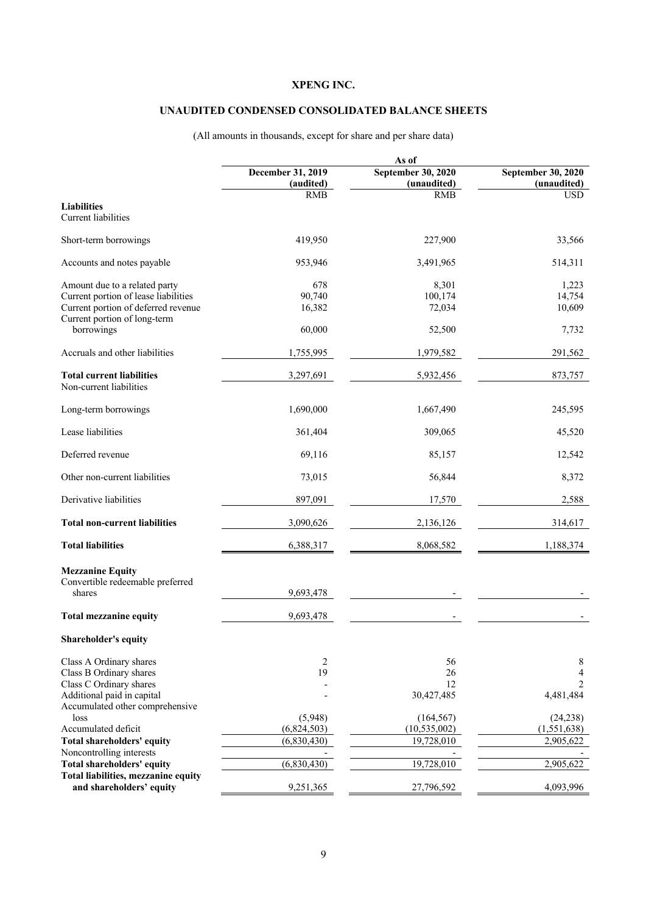### **UNAUDITED CONDENSED CONSOLIDATED BALANCE SHEETS**

|                                                                                                                                              | As of                                 |                                            |                                       |  |
|----------------------------------------------------------------------------------------------------------------------------------------------|---------------------------------------|--------------------------------------------|---------------------------------------|--|
|                                                                                                                                              | December 31, 2019<br>(audited)        | September 30, 2020<br>(unaudited)          | September 30, 2020<br>(unaudited)     |  |
|                                                                                                                                              | <b>RMB</b>                            | <b>RMB</b>                                 | <b>USD</b>                            |  |
| <b>Liabilities</b><br>Current liabilities                                                                                                    |                                       |                                            |                                       |  |
| Short-term borrowings                                                                                                                        | 419,950                               | 227,900                                    | 33,566                                |  |
| Accounts and notes payable                                                                                                                   | 953,946                               | 3,491,965                                  | 514,311                               |  |
| Amount due to a related party<br>Current portion of lease liabilities<br>Current portion of deferred revenue<br>Current portion of long-term | 678<br>90,740<br>16,382               | 8,301<br>100,174<br>72,034                 | 1,223<br>14,754<br>10,609             |  |
| borrowings                                                                                                                                   | 60,000                                | 52,500                                     | 7,732                                 |  |
| Accruals and other liabilities                                                                                                               | 1,755,995                             | 1,979,582                                  | 291,562                               |  |
| <b>Total current liabilities</b><br>Non-current liabilities                                                                                  | 3,297,691                             | 5,932,456                                  | 873,757                               |  |
| Long-term borrowings                                                                                                                         | 1,690,000                             | 1,667,490                                  | 245,595                               |  |
| Lease liabilities                                                                                                                            | 361,404                               | 309,065                                    | 45,520                                |  |
| Deferred revenue                                                                                                                             | 69,116                                | 85,157                                     | 12,542                                |  |
| Other non-current liabilities                                                                                                                | 73,015                                | 56,844                                     | 8,372                                 |  |
| Derivative liabilities                                                                                                                       | 897,091                               | 17,570                                     | 2,588                                 |  |
| <b>Total non-current liabilities</b>                                                                                                         | 3,090,626                             | 2,136,126                                  | 314,617                               |  |
| <b>Total liabilities</b>                                                                                                                     | 6,388,317                             | 8,068,582                                  | 1,188,374                             |  |
| <b>Mezzanine Equity</b><br>Convertible redeemable preferred<br>shares                                                                        | 9,693,478                             |                                            |                                       |  |
| <b>Total mezzanine equity</b>                                                                                                                | 9,693,478                             |                                            |                                       |  |
| Shareholder's equity                                                                                                                         |                                       |                                            |                                       |  |
| Class A Ordinary shares<br>Class B Ordinary shares<br>Class C Ordinary shares<br>Additional paid in capital                                  | 2<br>19                               | 56<br>26<br>12<br>30,427,485               | 8<br>$\overline{4}$<br>2<br>4,481,484 |  |
| Accumulated other comprehensive<br>loss<br>Accumulated deficit<br>Total shareholders' equity                                                 | (5,948)<br>(6,824,503)<br>(6,830,430) | (164, 567)<br>(10, 535, 002)<br>19,728,010 | (24, 238)<br>(1,551,638)<br>2,905,622 |  |
| Noncontrolling interests<br>Total shareholders' equity                                                                                       | (6,830,430)                           | 19,728,010                                 | 2,905,622                             |  |
| Total liabilities, mezzanine equity<br>and shareholders' equity                                                                              | 9,251,365                             | 27,796,592                                 | 4,093,996                             |  |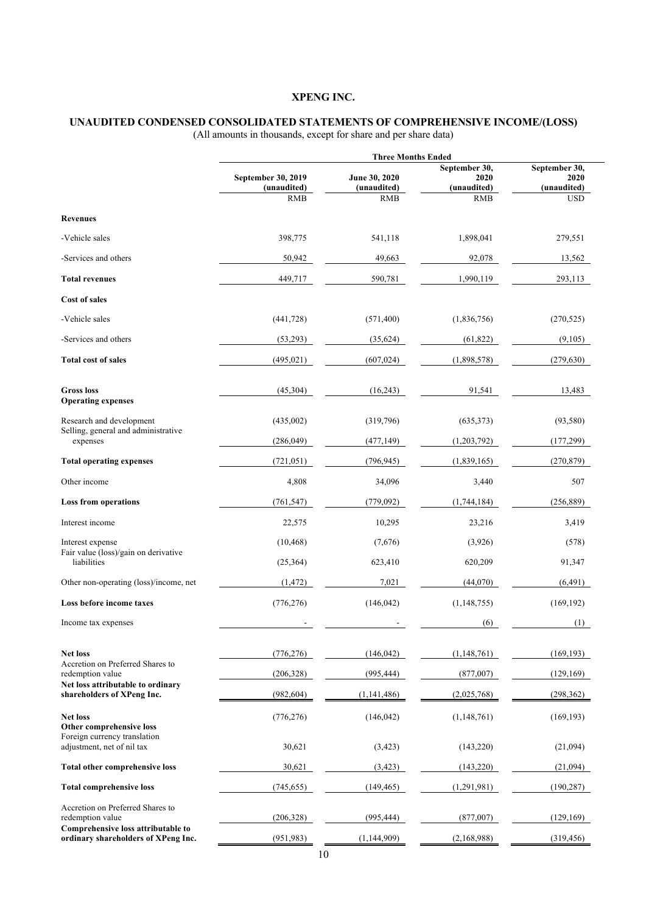#### **UNAUDITED CONDENSED CONSOLIDATED STATEMENTS OF COMPREHENSIVE INCOME/(LOSS)**

|                                                                           | <b>Three Months Ended</b>                       |                                            |                                                    |                                                    |
|---------------------------------------------------------------------------|-------------------------------------------------|--------------------------------------------|----------------------------------------------------|----------------------------------------------------|
|                                                                           | September 30, 2019<br>(unaudited)<br><b>RMB</b> | June 30, 2020<br>(unaudited)<br><b>RMB</b> | September 30,<br>2020<br>(unaudited)<br><b>RMB</b> | September 30,<br>2020<br>(unaudited)<br><b>USD</b> |
| <b>Revenues</b>                                                           |                                                 |                                            |                                                    |                                                    |
| -Vehicle sales                                                            | 398,775                                         | 541,118                                    | 1,898,041                                          | 279,551                                            |
| -Services and others                                                      | 50,942                                          | 49,663                                     | 92,078                                             | 13,562                                             |
| <b>Total revenues</b>                                                     | 449,717                                         | 590,781                                    | 1,990,119                                          | 293,113                                            |
| <b>Cost of sales</b>                                                      |                                                 |                                            |                                                    |                                                    |
| -Vehicle sales                                                            | (441, 728)                                      | (571, 400)                                 | (1,836,756)                                        | (270, 525)                                         |
| -Services and others                                                      | (53,293)                                        | (35,624)                                   | (61, 822)                                          | (9,105)                                            |
| <b>Total cost of sales</b>                                                | (495, 021)                                      | (607, 024)                                 | (1,898,578)                                        | (279, 630)                                         |
| <b>Gross loss</b><br><b>Operating expenses</b>                            | (45,304)                                        | (16,243)                                   | 91,541                                             | 13,483                                             |
| Research and development                                                  | (435,002)                                       | (319,796)                                  | (635,373)                                          | (93,580)                                           |
| Selling, general and administrative<br>expenses                           | (286,049)                                       | (477, 149)                                 | (1,203,792)                                        | (177, 299)                                         |
| <b>Total operating expenses</b>                                           | (721, 051)                                      | (796, 945)                                 | (1,839,165)                                        | (270, 879)                                         |
| Other income                                                              | 4,808                                           | 34,096                                     | 3,440                                              | 507                                                |
| <b>Loss from operations</b>                                               | (761, 547)                                      | (779,092)                                  | (1,744,184)                                        | (256, 889)                                         |
| Interest income                                                           | 22,575                                          | 10,295                                     | 23,216                                             | 3,419                                              |
| Interest expense                                                          | (10, 468)                                       | (7,676)                                    | (3,926)                                            | (578)                                              |
| Fair value (loss)/gain on derivative<br>liabilities                       | (25,364)                                        | 623,410                                    | 620,209                                            | 91,347                                             |
| Other non-operating (loss)/income, net                                    | (1, 472)                                        | 7,021                                      | (44,070)                                           | (6,491)                                            |
| Loss before income taxes                                                  | (776, 276)                                      | (146, 042)                                 | (1, 148, 755)                                      | (169, 192)                                         |
| Income tax expenses                                                       |                                                 |                                            | (6)                                                | (1)                                                |
| <b>Net loss</b>                                                           | (776, 276)                                      | (146, 042)                                 | (1,148,761)                                        | (169, 193)                                         |
| Accretion on Preferred Shares to<br>redemption value                      | (206, 328)                                      | (995, 444)                                 | (877,007)                                          | (129, 169)                                         |
| Net loss attributable to ordinary<br>shareholders of XPeng Inc.           | (982, 604)                                      | (1,141,486)                                | (2,025,768)                                        | (298, 362)                                         |
| <b>Net loss</b><br>Other comprehensive loss                               | (776, 276)                                      | (146, 042)                                 | (1,148,761)                                        | (169, 193)                                         |
| Foreign currency translation<br>adjustment, net of nil tax                | 30,621                                          | (3,423)                                    | (143,220)                                          | (21,094)                                           |
| <b>Total other comprehensive loss</b>                                     | 30,621                                          | (3, 423)                                   | (143,220)                                          | (21,094)                                           |
| <b>Total comprehensive loss</b>                                           | (745, 655)                                      | (149, 465)                                 | (1,291,981)                                        | (190, 287)                                         |
| Accretion on Preferred Shares to<br>redemption value                      | (206,328)                                       | (995, 444)                                 | (877,007)                                          | (129, 169)                                         |
| Comprehensive loss attributable to<br>ordinary shareholders of XPeng Inc. | (951, 983)                                      | (1,144,909)                                | (2,168,988)                                        | (319, 456)                                         |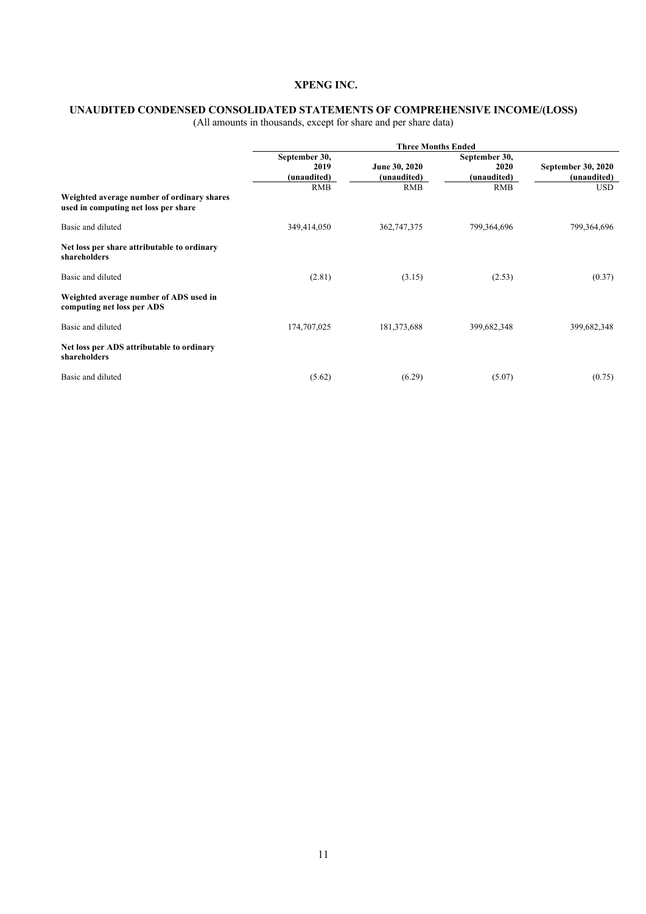#### **UNAUDITED CONDENSED CONSOLIDATED STATEMENTS OF COMPREHENSIVE INCOME/(LOSS)**

|                                                                                    | <b>Three Months Ended</b> |               |               |                    |
|------------------------------------------------------------------------------------|---------------------------|---------------|---------------|--------------------|
|                                                                                    | September 30,             |               | September 30, |                    |
|                                                                                    | 2019                      | June 30, 2020 | 2020          | September 30, 2020 |
|                                                                                    | (unaudited)               | (unaudited)   | (unaudited)   | (unaudited)        |
|                                                                                    | <b>RMB</b>                | <b>RMB</b>    | <b>RMB</b>    | <b>USD</b>         |
| Weighted average number of ordinary shares<br>used in computing net loss per share |                           |               |               |                    |
| Basic and diluted                                                                  | 349,414,050               | 362,747,375   | 799,364,696   | 799,364,696        |
| Net loss per share attributable to ordinary<br>shareholders                        |                           |               |               |                    |
| Basic and diluted                                                                  | (2.81)                    | (3.15)        | (2.53)        | (0.37)             |
| Weighted average number of ADS used in<br>computing net loss per ADS               |                           |               |               |                    |
| Basic and diluted                                                                  | 174,707,025               | 181,373,688   | 399,682,348   | 399,682,348        |
| Net loss per ADS attributable to ordinary<br>shareholders                          |                           |               |               |                    |
| Basic and diluted                                                                  | (5.62)                    | (6.29)        | (5.07)        | (0.75)             |